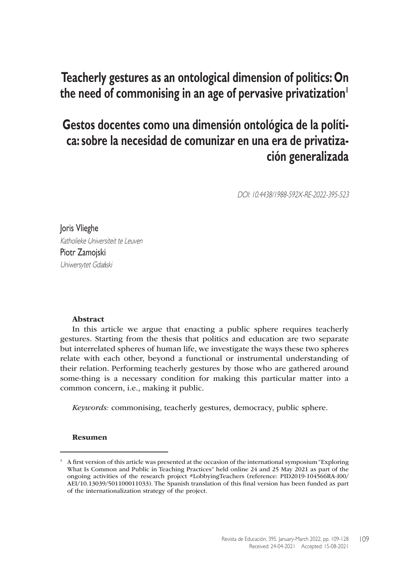# **Teacherly gestures as an ontological dimension of politics: On**  the need of commonising in an age of pervasive privatization<sup>1</sup>

# **Gestos docentes como una dimensión ontológica de la política: sobre la necesidad de comunizar en una era de privatización generalizada**

DOI: 10.4438/1988-592X-RE-2022-395-523

Joris Vlieghe Katholieke Universiteit te Leuven Piotr Zamojski Uniwersytet Gdański

#### Abstract

In this article we argue that enacting a public sphere requires teacherly gestures. Starting from the thesis that politics and education are two separate but interrelated spheres of human life, we investigate the ways these two spheres relate with each other, beyond a functional or instrumental understanding of their relation. Performing teacherly gestures by those who are gathered around some-thing is a necessary condition for making this particular matter into a common concern, i.e., making it public.

*Keywords:* commonising, teacherly gestures, democracy, public sphere.

#### Resumen

 $1$  A first version of this article was presented at the occasion of the international symposium "Exploring" What Is Common and Public in Teaching Practices" held online 24 and 25 May 2021 as part of the ongoing activities of the research project #LobbyingTeachers (reference: PID2019-104566RA-I00/ AEI/10.13039/501100011033). The Spanish translation of this final version has been funded as part of the internationalization strategy of the project.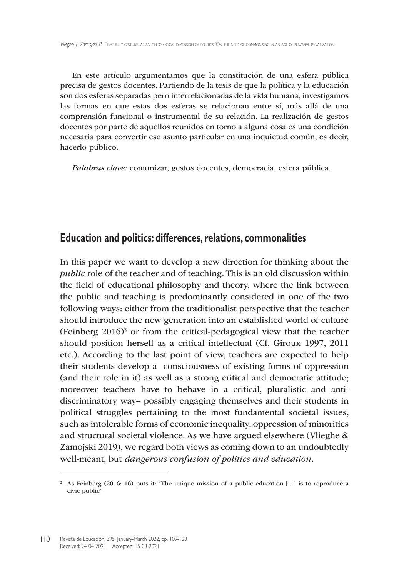En este artículo argumentamos que la constitución de una esfera pública precisa de gestos docentes. Partiendo de la tesis de que la política y la educación son dos esferas separadas pero interrelacionadas de la vida humana, investigamos las formas en que estas dos esferas se relacionan entre sí, más allá de una comprensión funcional o instrumental de su relación. La realización de gestos docentes por parte de aquellos reunidos en torno a alguna cosa es una condición necesaria para convertir ese asunto particular en una inquietud común, es decir, hacerlo público.

*Palabras clave:* comunizar, gestos docentes, democracia, esfera pública.

### **Education and politics: differences, relations, commonalities**

In this paper we want to develop a new direction for thinking about the *public* role of the teacher and of teaching. This is an old discussion within the field of educational philosophy and theory, where the link between the public and teaching is predominantly considered in one of the two following ways: either from the traditionalist perspective that the teacher should introduce the new generation into an established world of culture (Feinberg  $2016$ )<sup>2</sup> or from the critical-pedagogical view that the teacher should position herself as a critical intellectual (Cf. Giroux 1997, 2011 etc.). According to the last point of view, teachers are expected to help their students develop a consciousness of existing forms of oppression (and their role in it) as well as a strong critical and democratic attitude; moreover teachers have to behave in a critical, pluralistic and antidiscriminatory way– possibly engaging themselves and their students in political struggles pertaining to the most fundamental societal issues, such as intolerable forms of economic inequality, oppression of minorities and structural societal violence. As we have argued elsewhere (Vlieghe & Zamojski 2019), we regard both views as coming down to an undoubtedly well-meant, but *dangerous confusion of politics and education*.

<sup>&</sup>lt;sup>2</sup> As Feinberg (2016: 16) puts it: "The unique mission of a public education [...] is to reproduce a civic public"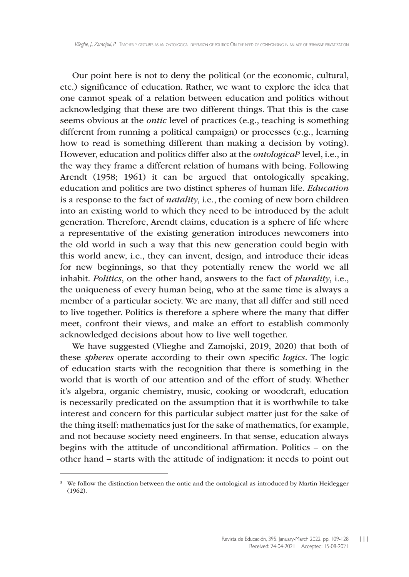Our point here is not to deny the political (or the economic, cultural, etc.) significance of education. Rather, we want to explore the idea that one cannot speak of a relation between education and politics without acknowledging that these are two different things. That this is the case seems obvious at the *ontic* level of practices (e.g., teaching is something different from running a political campaign) or processes (e.g., learning how to read is something different than making a decision by voting). However, education and politics differ also at the *ontological*<sup>3</sup> level, i.e., in the way they frame a different relation of humans with being. Following Arendt (1958; 1961) it can be argued that ontologically speaking, education and politics are two distinct spheres of human life. *Education* is a response to the fact of *natality*, i.e., the coming of new born children into an existing world to which they need to be introduced by the adult generation. Therefore, Arendt claims, education is a sphere of life where a representative of the existing generation introduces newcomers into the old world in such a way that this new generation could begin with this world anew, i.e., they can invent, design, and introduce their ideas for new beginnings, so that they potentially renew the world we all inhabit. *Politics*, on the other hand, answers to the fact of *plurality*, i.e., the uniqueness of every human being, who at the same time is always a member of a particular society. We are many, that all differ and still need to live together. Politics is therefore a sphere where the many that differ meet, confront their views, and make an effort to establish commonly acknowledged decisions about how to live well together.

We have suggested (Vlieghe and Zamojski, 2019, 2020) that both of these *spheres* operate according to their own specific *logics*. The logic of education starts with the recognition that there is something in the world that is worth of our attention and of the effort of study. Whether it's algebra, organic chemistry, music, cooking or woodcraft, education is necessarily predicated on the assumption that it is worthwhile to take interest and concern for this particular subject matter just for the sake of the thing itself: mathematics just for the sake of mathematics, for example, and not because society need engineers. In that sense, education always begins with the attitude of unconditional affirmation. Politics – on the other hand – starts with the attitude of indignation: it needs to point out

<sup>&</sup>lt;sup>3</sup> We follow the distinction between the ontic and the ontological as introduced by Martin Heidegger (1962).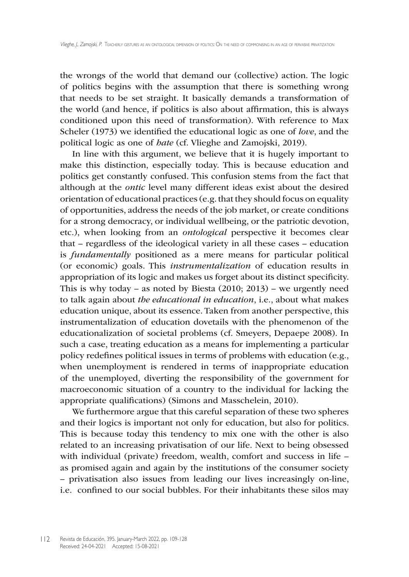the wrongs of the world that demand our (collective) action. The logic of politics begins with the assumption that there is something wrong that needs to be set straight. It basically demands a transformation of the world (and hence, if politics is also about affirmation, this is always conditioned upon this need of transformation). With reference to Max Scheler (1973) we identified the educational logic as one of *love*, and the political logic as one of *hate* (cf. Vlieghe and Zamojski, 2019).

In line with this argument, we believe that it is hugely important to make this distinction, especially today. This is because education and politics get constantly confused. This confusion stems from the fact that although at the *ontic* level many different ideas exist about the desired orientation of educational practices (e.g. that they should focus on equality of opportunities, address the needs of the job market, or create conditions for a strong democracy, or individual wellbeing, or the patriotic devotion, etc.), when looking from an *ontological* perspective it becomes clear that – regardless of the ideological variety in all these cases – education is *fundamentally* positioned as a mere means for particular political (or economic) goals. This *instrumentalization* of education results in appropriation of its logic and makes us forget about its distinct specificity. This is why today – as noted by Biesta  $(2010; 2013)$  – we urgently need to talk again about *the educational in education*, i.e., about what makes education unique, about its essence. Taken from another perspective, this instrumentalization of education dovetails with the phenomenon of the educationalization of societal problems (cf. Smeyers, Depaepe 2008). In such a case, treating education as a means for implementing a particular policy redefines political issues in terms of problems with education (e.g., when unemployment is rendered in terms of inappropriate education of the unemployed, diverting the responsibility of the government for macroeconomic situation of a country to the individual for lacking the appropriate qualifications) (Simons and Masschelein, 2010).

We furthermore argue that this careful separation of these two spheres and their logics is important not only for education, but also for politics. This is because today this tendency to mix one with the other is also related to an increasing privatisation of our life. Next to being obsessed with individual (private) freedom, wealth, comfort and success in life – as promised again and again by the institutions of the consumer society – privatisation also issues from leading our lives increasingly on-line, i.e. confined to our social bubbles. For their inhabitants these silos may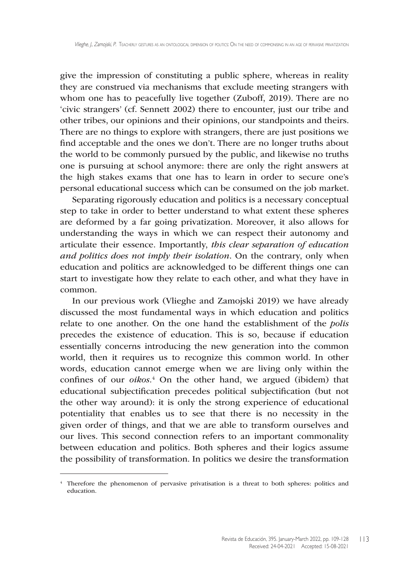give the impression of constituting a public sphere, whereas in reality they are construed via mechanisms that exclude meeting strangers with whom one has to peacefully live together (Zuboff, 2019). There are no 'civic strangers' (cf. Sennett 2002) there to encounter, just our tribe and other tribes, our opinions and their opinions, our standpoints and theirs. There are no things to explore with strangers, there are just positions we find acceptable and the ones we don't. There are no longer truths about the world to be commonly pursued by the public, and likewise no truths one is pursuing at school anymore: there are only the right answers at the high stakes exams that one has to learn in order to secure one's personal educational success which can be consumed on the job market.

Separating rigorously education and politics is a necessary conceptual step to take in order to better understand to what extent these spheres are deformed by a far going privatization. Moreover, it also allows for understanding the ways in which we can respect their autonomy and articulate their essence. Importantly, *this clear separation of education and politics does not imply their isolation*. On the contrary, only when education and politics are acknowledged to be different things one can start to investigate how they relate to each other, and what they have in common.

In our previous work (Vlieghe and Zamojski 2019) we have already discussed the most fundamental ways in which education and politics relate to one another. On the one hand the establishment of the *polis* precedes the existence of education. This is so, because if education essentially concerns introducing the new generation into the common world, then it requires us to recognize this common world. In other words, education cannot emerge when we are living only within the confines of our *oikos.*<sup>4</sup> On the other hand, we argued (ibidem) that educational subjectification precedes political subjectification (but not the other way around): it is only the strong experience of educational potentiality that enables us to see that there is no necessity in the given order of things, and that we are able to transform ourselves and our lives. This second connection refers to an important commonality between education and politics. Both spheres and their logics assume the possibility of transformation. In politics we desire the transformation

<sup>4</sup> Therefore the phenomenon of pervasive privatisation is a threat to both spheres: politics and education.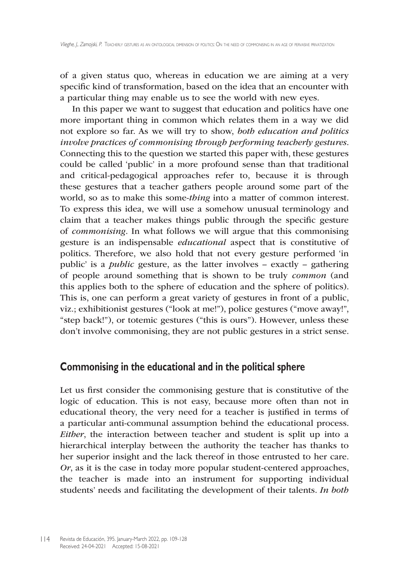of a given status quo, whereas in education we are aiming at a very specific kind of transformation, based on the idea that an encounter with a particular thing may enable us to see the world with new eyes.

In this paper we want to suggest that education and politics have one more important thing in common which relates them in a way we did not explore so far. As we will try to show, *both education and politics involve practices of commonising through performing teacherly gestures*. Connecting this to the question we started this paper with, these gestures could be called 'public' in a more profound sense than that traditional and critical-pedagogical approaches refer to, because it is through these gestures that a teacher gathers people around some part of the world, so as to make this some-*thing* into a matter of common interest. To express this idea, we will use a somehow unusual terminology and claim that a teacher makes things public through the specific gesture of *commonising*. In what follows we will argue that this commonising gesture is an indispensable *educational* aspect that is constitutive of politics. Therefore, we also hold that not every gesture performed 'in public' is a *public* gesture, as the latter involves – exactly – gathering of people around something that is shown to be truly *common* (and this applies both to the sphere of education and the sphere of politics). This is, one can perform a great variety of gestures in front of a public, viz.; exhibitionist gestures ("look at me!"), police gestures ("move away!", "step back!"), or totemic gestures ("this is ours"). However, unless these don't involve commonising, they are not public gestures in a strict sense.

## **Commonising in the educational and in the political sphere**

Let us first consider the commonising gesture that is constitutive of the logic of education. This is not easy, because more often than not in educational theory, the very need for a teacher is justified in terms of a particular anti-communal assumption behind the educational process. *Either*, the interaction between teacher and student is split up into a hierarchical interplay between the authority the teacher has thanks to her superior insight and the lack thereof in those entrusted to her care. *Or*, as it is the case in today more popular student-centered approaches, the teacher is made into an instrument for supporting individual students' needs and facilitating the development of their talents. *In both*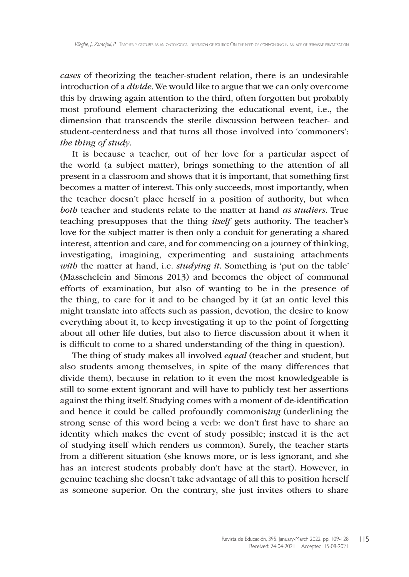*cases* of theorizing the teacher-student relation, there is an undesirable introduction of a *divide*. We would like to argue that we can only overcome this by drawing again attention to the third, often forgotten but probably most profound element characterizing the educational event, i.e., the dimension that transcends the sterile discussion between teacher- and student-centerdness and that turns all those involved into 'commoners': *the thing of study*.

It is because a teacher, out of her love for a particular aspect of the world (a subject matter), brings something to the attention of all present in a classroom and shows that it is important, that something first becomes a matter of interest. This only succeeds, most importantly, when the teacher doesn't place herself in a position of authority, but when *both* teacher and students relate to the matter at hand *as studiers*. True teaching presupposes that the thing *itself* gets authority. The teacher's love for the subject matter is then only a conduit for generating a shared interest, attention and care, and for commencing on a journey of thinking, investigating, imagining, experimenting and sustaining attachments *with* the matter at hand, i.e. *studying it*. Something is 'put on the table' (Masschelein and Simons 2013) and becomes the object of communal efforts of examination, but also of wanting to be in the presence of the thing, to care for it and to be changed by it (at an ontic level this might translate into affects such as passion, devotion, the desire to know everything about it, to keep investigating it up to the point of forgetting about all other life duties, but also to fierce discussion about it when it is difficult to come to a shared understanding of the thing in question).

The thing of study makes all involved *equal* (teacher and student, but also students among themselves, in spite of the many differences that divide them), because in relation to it even the most knowledgeable is still to some extent ignorant and will have to publicly test her assertions against the thing itself. Studying comes with a moment of de-identification and hence it could be called profoundly commonis*ing* (underlining the strong sense of this word being a verb: we don't first have to share an identity which makes the event of study possible; instead it is the act of studying itself which renders us common). Surely, the teacher starts from a different situation (she knows more, or is less ignorant, and she has an interest students probably don't have at the start). However, in genuine teaching she doesn't take advantage of all this to position herself as someone superior. On the contrary, she just invites others to share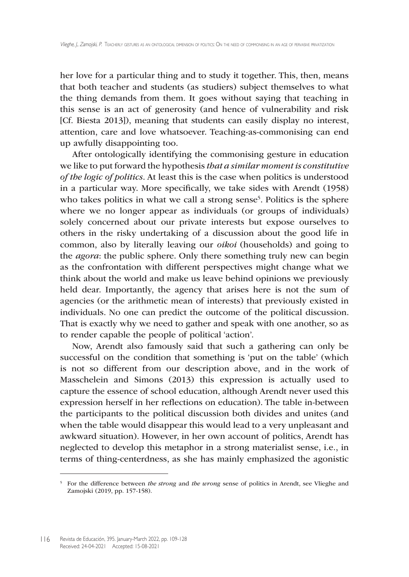her love for a particular thing and to study it together. This, then, means that both teacher and students (as studiers) subject themselves to what the thing demands from them. It goes without saying that teaching in this sense is an act of generosity (and hence of vulnerability and risk [Cf. Biesta 2013]), meaning that students can easily display no interest, attention, care and love whatsoever. Teaching-as-commonising can end up awfully disappointing too.

After ontologically identifying the commonising gesture in education we like to put forward the hypothesis *that a similar moment is constitutive of the logic of politics*. At least this is the case when politics is understood in a particular way. More specifically, we take sides with Arendt (1958) who takes politics in what we call a strong sense<sup>5</sup>. Politics is the sphere where we no longer appear as individuals (or groups of individuals) solely concerned about our private interests but expose ourselves to others in the risky undertaking of a discussion about the good life in common, also by literally leaving our *oikoi* (households) and going to the *agora*: the public sphere. Only there something truly new can begin as the confrontation with different perspectives might change what we think about the world and make us leave behind opinions we previously held dear. Importantly, the agency that arises here is not the sum of agencies (or the arithmetic mean of interests) that previously existed in individuals. No one can predict the outcome of the political discussion. That is exactly why we need to gather and speak with one another, so as to render capable the people of political 'action'.

Now, Arendt also famously said that such a gathering can only be successful on the condition that something is 'put on the table' (which is not so different from our description above, and in the work of Masschelein and Simons (2013) this expression is actually used to capture the essence of school education, although Arendt never used this expression herself in her reflections on education). The table in-between the participants to the political discussion both divides and unites (and when the table would disappear this would lead to a very unpleasant and awkward situation). However, in her own account of politics, Arendt has neglected to develop this metaphor in a strong materialist sense, i.e., in terms of thing-centerdness, as she has mainly emphasized the agonistic

<sup>5</sup> For the difference between *the strong* and *the wrong* sense of politics in Arendt, see Vlieghe and Zamojski (2019, pp. 157-158).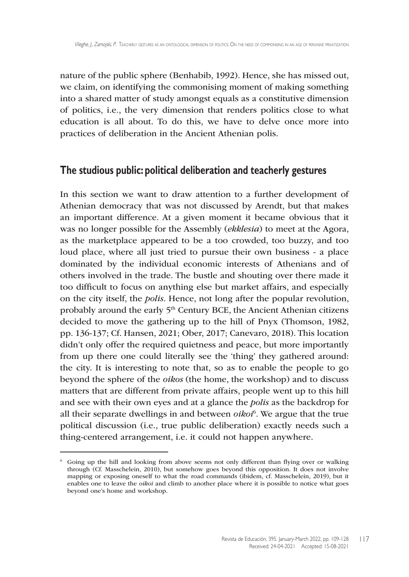nature of the public sphere (Benhabib, 1992). Hence, she has missed out, we claim, on identifying the commonising moment of making something into a shared matter of study amongst equals as a constitutive dimension of politics, i.e., the very dimension that renders politics close to what education is all about. To do this, we have to delve once more into practices of deliberation in the Ancient Athenian polis.

#### **The studious public: political deliberation and teacherly gestures**

In this section we want to draw attention to a further development of Athenian democracy that was not discussed by Arendt, but that makes an important difference. At a given moment it became obvious that it was no longer possible for the Assembly (*ekklesia*) to meet at the Agora, as the marketplace appeared to be a too crowded, too buzzy, and too loud place, where all just tried to pursue their own business - a place dominated by the individual economic interests of Athenians and of others involved in the trade. The bustle and shouting over there made it too difficult to focus on anything else but market affairs, and especially on the city itself, the *polis*. Hence, not long after the popular revolution, probably around the early 5<sup>th</sup> Century BCE, the Ancient Athenian citizens decided to move the gathering up to the hill of Pnyx (Thomson, 1982, pp. 136-137; Cf. Hansen, 2021; Ober, 2017; Canevaro, 2018). This location didn't only offer the required quietness and peace, but more importantly from up there one could literally see the 'thing' they gathered around: the city. It is interesting to note that, so as to enable the people to go beyond the sphere of the *oikos* (the home, the workshop) and to discuss matters that are different from private affairs, people went up to this hill and see with their own eyes and at a glance the *polis* as the backdrop for all their separate dwellings in and between *oikoi*<sup>6</sup> . We argue that the true political discussion (i.e., true public deliberation) exactly needs such a thing-centered arrangement, i.e. it could not happen anywhere.

 $6\sigma$  Going up the hill and looking from above seems not only different than flying over or walking through (Cf. Masschelein, 2010), but somehow goes beyond this opposition. It does not involve mapping or exposing oneself to what the road commands (ibidem, cf. Masschelein, 2019), but it enables one to leave the *oikoi* and climb to another place where it is possible to notice what goes beyond one's home and workshop.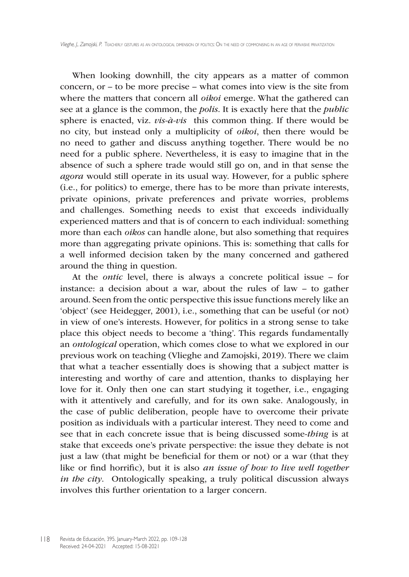When looking downhill, the city appears as a matter of common concern, or – to be more precise – what comes into view is the site from where the matters that concern all *oikoi* emerge. What the gathered can see at a glance is the common, the *polis*. It is exactly here that the *public* sphere is enacted, viz. *vis-à-vis* this common thing. If there would be no city, but instead only a multiplicity of *oikoi*, then there would be no need to gather and discuss anything together. There would be no need for a public sphere. Nevertheless, it is easy to imagine that in the absence of such a sphere trade would still go on, and in that sense the *agora* would still operate in its usual way. However, for a public sphere (i.e., for politics) to emerge, there has to be more than private interests, private opinions, private preferences and private worries, problems and challenges. Something needs to exist that exceeds individually experienced matters and that is of concern to each individual: something more than each *oikos* can handle alone, but also something that requires more than aggregating private opinions. This is: something that calls for a well informed decision taken by the many concerned and gathered around the thing in question.

At the *ontic* level, there is always a concrete political issue – for instance: a decision about a war, about the rules of law – to gather around. Seen from the ontic perspective this issue functions merely like an 'object' (see Heidegger, 2001), i.e., something that can be useful (or not) in view of one's interests. However, for politics in a strong sense to take place this object needs to become a 'thing'. This regards fundamentally an *ontological* operation, which comes close to what we explored in our previous work on teaching (Vlieghe and Zamojski, 2019). There we claim that what a teacher essentially does is showing that a subject matter is interesting and worthy of care and attention, thanks to displaying her love for it. Only then one can start studying it together, i.e., engaging with it attentively and carefully, and for its own sake. Analogously, in the case of public deliberation, people have to overcome their private position as individuals with a particular interest. They need to come and see that in each concrete issue that is being discussed some-*thing* is at stake that exceeds one's private perspective: the issue they debate is not just a law (that might be beneficial for them or not) or a war (that they like or find horrific), but it is also *an issue of how to live well together in the city*. Ontologically speaking, a truly political discussion always involves this further orientation to a larger concern.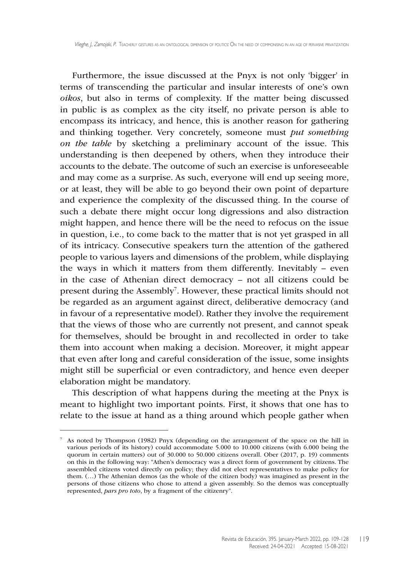Furthermore, the issue discussed at the Pnyx is not only 'bigger' in terms of transcending the particular and insular interests of one's own *oikos*, but also in terms of complexity. If the matter being discussed in public is as complex as the city itself, no private person is able to encompass its intricacy, and hence, this is another reason for gathering and thinking together. Very concretely, someone must *put something on the table* by sketching a preliminary account of the issue. This understanding is then deepened by others, when they introduce their accounts to the debate. The outcome of such an exercise is unforeseeable and may come as a surprise. As such, everyone will end up seeing more, or at least, they will be able to go beyond their own point of departure and experience the complexity of the discussed thing. In the course of such a debate there might occur long digressions and also distraction might happen, and hence there will be the need to refocus on the issue in question, i.e., to come back to the matter that is not yet grasped in all of its intricacy. Consecutive speakers turn the attention of the gathered people to various layers and dimensions of the problem, while displaying the ways in which it matters from them differently. Inevitably – even in the case of Athenian direct democracy – not all citizens could be present during the Assembly<sup>7</sup>. However, these practical limits should not be regarded as an argument against direct, deliberative democracy (and in favour of a representative model). Rather they involve the requirement that the views of those who are currently not present, and cannot speak for themselves, should be brought in and recollected in order to take them into account when making a decision. Moreover, it might appear that even after long and careful consideration of the issue, some insights might still be superficial or even contradictory, and hence even deeper elaboration might be mandatory.

This description of what happens during the meeting at the Pnyx is meant to highlight two important points. First, it shows that one has to relate to the issue at hand as a thing around which people gather when

<sup>7</sup> As noted by Thompson (1982) Pnyx (depending on the arrangement of the space on the hill in various periods of its history) could accommodate 5.000 to 10.000 citizens (with 6.000 being the quorum in certain matters) out of 30.000 to 50.000 citizens overall. Ober (2017, p. 19) comments on this in the following way: "Athen's democracy was a direct form of government by citizens. The assembled citizens voted directly on policy; they did not elect representatives to make policy for them. (…) The Athenian demos (as the whole of the citizen body) was imagined as present in the persons of those citizens who chose to attend a given assembly. So the demos was conceptually represented, *pars pro toto*, by a fragment of the citizenry".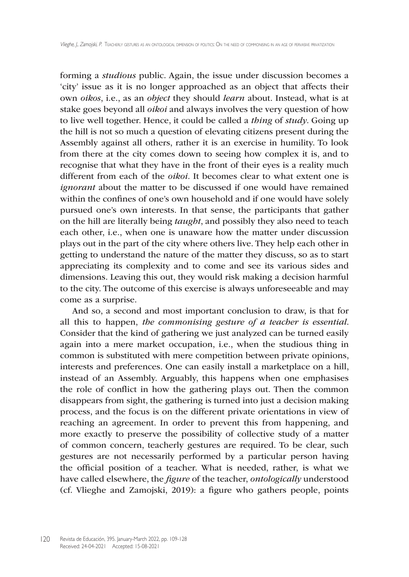forming a *studious* public. Again, the issue under discussion becomes a 'city' issue as it is no longer approached as an object that affects their own *oikos*, i.e., as an *object* they should *learn* about. Instead, what is at stake goes beyond all *oikoi* and always involves the very question of how to live well together. Hence, it could be called a *thing* of *study*. Going up the hill is not so much a question of elevating citizens present during the Assembly against all others, rather it is an exercise in humility. To look from there at the city comes down to seeing how complex it is, and to recognise that what they have in the front of their eyes is a reality much different from each of the *oikoi.* It becomes clear to what extent one is *ignorant* about the matter to be discussed if one would have remained within the confines of one's own household and if one would have solely pursued one's own interests. In that sense, the participants that gather on the hill are literally being *taught*, and possibly they also need to teach each other, i.e., when one is unaware how the matter under discussion plays out in the part of the city where others live. They help each other in getting to understand the nature of the matter they discuss, so as to start appreciating its complexity and to come and see its various sides and dimensions. Leaving this out, they would risk making a decision harmful to the city. The outcome of this exercise is always unforeseeable and may come as a surprise.

And so, a second and most important conclusion to draw, is that for all this to happen, *the commonising gesture of a teacher is essential*. Consider that the kind of gathering we just analyzed can be turned easily again into a mere market occupation, i.e., when the studious thing in common is substituted with mere competition between private opinions, interests and preferences. One can easily install a marketplace on a hill, instead of an Assembly. Arguably, this happens when one emphasises the role of conflict in how the gathering plays out. Then the common disappears from sight, the gathering is turned into just a decision making process, and the focus is on the different private orientations in view of reaching an agreement. In order to prevent this from happening, and more exactly to preserve the possibility of collective study of a matter of common concern, teacherly gestures are required. To be clear, such gestures are not necessarily performed by a particular person having the official position of a teacher. What is needed, rather, is what we have called elsewhere, the *figure* of the teacher, *ontologically* understood (cf. Vlieghe and Zamojski, 2019): a figure who gathers people, points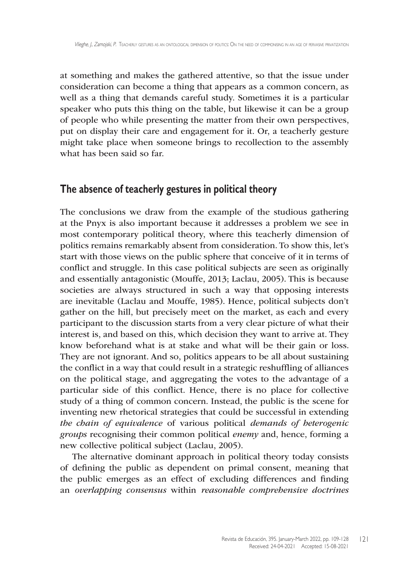at something and makes the gathered attentive, so that the issue under consideration can become a thing that appears as a common concern, as well as a thing that demands careful study. Sometimes it is a particular speaker who puts this thing on the table, but likewise it can be a group of people who while presenting the matter from their own perspectives, put on display their care and engagement for it. Or, a teacherly gesture might take place when someone brings to recollection to the assembly what has been said so far.

## **The absence of teacherly gestures in political theory**

The conclusions we draw from the example of the studious gathering at the Pnyx is also important because it addresses a problem we see in most contemporary political theory, where this teacherly dimension of politics remains remarkably absent from consideration. To show this, let's start with those views on the public sphere that conceive of it in terms of conflict and struggle. In this case political subjects are seen as originally and essentially antagonistic (Mouffe, 2013; Laclau, 2005). This is because societies are always structured in such a way that opposing interests are inevitable (Laclau and Mouffe, 1985). Hence, political subjects don't gather on the hill, but precisely meet on the market, as each and every participant to the discussion starts from a very clear picture of what their interest is, and based on this, which decision they want to arrive at. They know beforehand what is at stake and what will be their gain or loss. They are not ignorant. And so, politics appears to be all about sustaining the conflict in a way that could result in a strategic reshuffling of alliances on the political stage, and aggregating the votes to the advantage of a particular side of this conflict. Hence, there is no place for collective study of a thing of common concern. Instead, the public is the scene for inventing new rhetorical strategies that could be successful in extending *the chain of equivalence* of various political *demands of heterogenic groups* recognising their common political *enemy* and, hence, forming a new collective political subject (Laclau, 2005).

The alternative dominant approach in political theory today consists of defining the public as dependent on primal consent, meaning that the public emerges as an effect of excluding differences and finding an *overlapping consensus* within *reasonable comprehensive doctrines*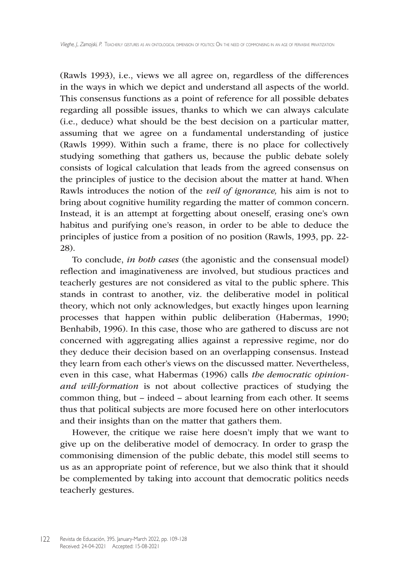(Rawls 1993), i.e., views we all agree on, regardless of the differences in the ways in which we depict and understand all aspects of the world. This consensus functions as a point of reference for all possible debates regarding all possible issues, thanks to which we can always calculate (i.e., deduce) what should be the best decision on a particular matter, assuming that we agree on a fundamental understanding of justice (Rawls 1999). Within such a frame, there is no place for collectively studying something that gathers us, because the public debate solely consists of logical calculation that leads from the agreed consensus on the principles of justice to the decision about the matter at hand. When Rawls introduces the notion of the *veil of ignorance,* his aim is not to bring about cognitive humility regarding the matter of common concern. Instead, it is an attempt at forgetting about oneself, erasing one's own habitus and purifying one's reason, in order to be able to deduce the principles of justice from a position of no position (Rawls, 1993, pp. 22- 28).

To conclude, *in both cases* (the agonistic and the consensual model) reflection and imaginativeness are involved, but studious practices and teacherly gestures are not considered as vital to the public sphere. This stands in contrast to another, viz. the deliberative model in political theory, which not only acknowledges, but exactly hinges upon learning processes that happen within public deliberation (Habermas, 1990; Benhabib, 1996). In this case, those who are gathered to discuss are not concerned with aggregating allies against a repressive regime, nor do they deduce their decision based on an overlapping consensus. Instead they learn from each other's views on the discussed matter. Nevertheless, even in this case, what Habermas (1996) calls *the democratic opinionand will-formation* is not about collective practices of studying the common thing, but – indeed – about learning from each other. It seems thus that political subjects are more focused here on other interlocutors and their insights than on the matter that gathers them.

However, the critique we raise here doesn't imply that we want to give up on the deliberative model of democracy. In order to grasp the commonising dimension of the public debate, this model still seems to us as an appropriate point of reference, but we also think that it should be complemented by taking into account that democratic politics needs teacherly gestures.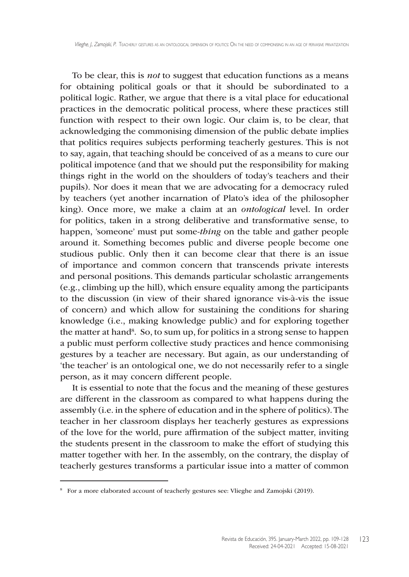To be clear, this is *not* to suggest that education functions as a means for obtaining political goals or that it should be subordinated to a political logic. Rather, we argue that there is a vital place for educational practices in the democratic political process, where these practices still function with respect to their own logic. Our claim is, to be clear, that acknowledging the commonising dimension of the public debate implies that politics requires subjects performing teacherly gestures. This is not to say, again, that teaching should be conceived of as a means to cure our political impotence (and that we should put the responsibility for making things right in the world on the shoulders of today's teachers and their pupils). Nor does it mean that we are advocating for a democracy ruled by teachers (yet another incarnation of Plato's idea of the philosopher king). Once more, we make a claim at an *ontological* level. In order for politics, taken in a strong deliberative and transformative sense, to happen, 'someone' must put some-*thing* on the table and gather people around it. Something becomes public and diverse people become one studious public. Only then it can become clear that there is an issue of importance and common concern that transcends private interests and personal positions. This demands particular scholastic arrangements (e.g., climbing up the hill), which ensure equality among the participants to the discussion (in view of their shared ignorance vis-à-vis the issue of concern) and which allow for sustaining the conditions for sharing knowledge (i.e., making knowledge public) and for exploring together the matter at hand<sup>8</sup>. So, to sum up, for politics in a strong sense to happen a public must perform collective study practices and hence commonising gestures by a teacher are necessary. But again, as our understanding of 'the teacher' is an ontological one, we do not necessarily refer to a single person, as it may concern different people.

It is essential to note that the focus and the meaning of these gestures are different in the classroom as compared to what happens during the assembly (i.e. in the sphere of education and in the sphere of politics).The teacher in her classroom displays her teacherly gestures as expressions of the love for the world, pure affirmation of the subject matter, inviting the students present in the classroom to make the effort of studying this matter together with her. In the assembly, on the contrary, the display of teacherly gestures transforms a particular issue into a matter of common

<sup>8</sup> For a more elaborated account of teacherly gestures see: Vlieghe and Zamojski (2019).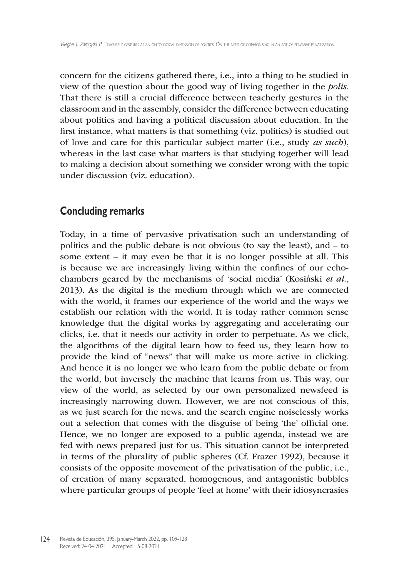concern for the citizens gathered there, i.e., into a thing to be studied in view of the question about the good way of living together in the *polis*. That there is still a crucial difference between teacherly gestures in the classroom and in the assembly, consider the difference between educating about politics and having a political discussion about education. In the first instance, what matters is that something (viz. politics) is studied out of love and care for this particular subject matter (i.e., study *as such*), whereas in the last case what matters is that studying together will lead to making a decision about something we consider wrong with the topic under discussion (viz. education).

## **Concluding remarks**

Today, in a time of pervasive privatisation such an understanding of politics and the public debate is not obvious (to say the least), and – to some extent – it may even be that it is no longer possible at all. This is because we are increasingly living within the confines of our echochambers geared by the mechanisms of 'social media' (Kosiński *et al.*, 2013). As the digital is the medium through which we are connected with the world, it frames our experience of the world and the ways we establish our relation with the world. It is today rather common sense knowledge that the digital works by aggregating and accelerating our clicks, i.e. that it needs our activity in order to perpetuate. As we click, the algorithms of the digital learn how to feed us, they learn how to provide the kind of "news" that will make us more active in clicking. And hence it is no longer we who learn from the public debate or from the world, but inversely the machine that learns from us. This way, our view of the world, as selected by our own personalized newsfeed is increasingly narrowing down. However, we are not conscious of this, as we just search for the news, and the search engine noiselessly works out a selection that comes with the disguise of being 'the' official one. Hence, we no longer are exposed to a public agenda, instead we are fed with news prepared just for us. This situation cannot be interpreted in terms of the plurality of public spheres (Cf. Frazer 1992), because it consists of the opposite movement of the privatisation of the public, i.e., of creation of many separated, homogenous, and antagonistic bubbles where particular groups of people 'feel at home' with their idiosyncrasies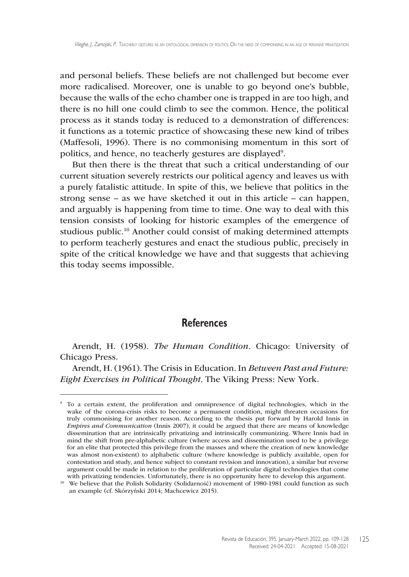and personal beliefs. These beliefs are not challenged but become ever more radicalised. Moreover, one is unable to go beyond one's bubble, because the walls of the echo chamber one is trapped in are too high, and there is no hill one could climb to see the common. Hence, the political process as it stands today is reduced to a demonstration of differences: it functions as a totemic practice of showcasing these new kind of tribes (Maffesoli, 1996). There is no commonising momentum in this sort of politics, and hence, no teacherly gestures are displayed<sup>9</sup>.

But then there is the threat that such a critical understanding of our current situation severely restricts our political agency and leaves us with a purely fatalistic attitude. In spite of this, we believe that politics in the strong sense – as we have sketched it out in this article – can happen, and arguably is happening from time to time. One way to deal with this tension consists of looking for historic examples of the emergence of studious public.10 Another could consist of making determined attempts to perform teacherly gestures and enact the studious public, precisely in spite of the critical knowledge we have and that suggests that achieving this today seems impossible.

#### **References**

Arendt, H. (1958). *The Human Condition*. Chicago: University of Chicago Press.

Arendt, H. (1961). The Crisis in Education. In *Between Past and Future: Eight Exercises in Political Thought*. The Viking Press: New York.

<sup>9</sup> To a certain extent, the proliferation and omnipresence of digital technologies, which in the wake of the corona-crisis risks to become a permanent condition, might threaten occasions for truly commonising for another reason. According to the thesis put forward by Harold Innis in *Empires and Communication* (Innis 2007), it could be argued that there are means of knowledge dissemination that are intrinsically privatizing and intrinsically communizing. Where Innis had in mind the shift from pre-alphabetic culture (where access and dissemination used to be a privilege for an elite that protected this privilege from the masses and where the creation of new knowledge was almost non-existent) to alphabetic culture (where knowledge is publicly available, open for contestation and study, and hence subject to constant revision and innovation), a similar but reverse argument could be made in relation to the proliferation of particular digital technologies that come with privatizing tendencies. Unfortunately, there is no opportunity here to develop this argument.

<sup>&</sup>lt;sup>10</sup> We believe that the Polish Solidarity (Solidarność) movement of 1980-1981 could function as such an example (cf. Skórzyński 2014; Machcewicz 2015).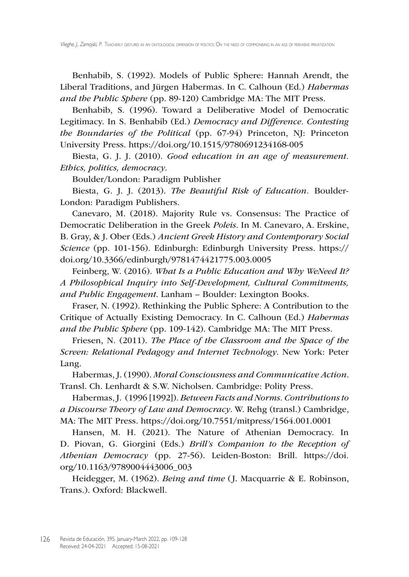Benhabib, S. (1992). Models of Public Sphere: Hannah Arendt, the Liberal Traditions, and Jürgen Habermas. In C. Calhoun (Ed.) *Habermas and the Public Sphere* (pp. 89-120) Cambridge MA: The MIT Press.

Benhabib, S. (1996). Toward a Deliberative Model of Democratic Legitimacy. In S. Benhabib (Ed.) *Democracy and Difference. Contesting the Boundaries of the Political* (pp. 67-94) Princeton, NJ: Princeton University Press. <https://doi.org/10.1515/9780691234168>-005

Biesta, G. J. J. (2010). *Good education in an age of measurement. Ethics, politics, democracy*.

Boulder/London: Paradigm Publisher

Biesta, G. J. J. (2013). *The Beautiful Risk of Education.* Boulder-London: Paradigm Publishers.

Canevaro, M. (2018). Majority Rule vs. Consensus: The Practice of Democratic Deliberation in the Greek *Poleis*. In M. Canevaro, A. Erskine, B. Gray, & J. Ober (Eds.) *Ancient Greek History and Contemporary Social Science* (pp. 101-156). Edinburgh: Edinburgh University Press. [https://](https://doi.org/10.3366/edinburgh/9781474421775.003.0005) [doi.org/10.3366/edinburgh/9781474421775.003.0005](https://doi.org/10.3366/edinburgh/9781474421775.003.0005)

Feinberg, W. (2016). *What Is a Public Education and Why WeNeed It? A Philosophical Inquiry into Self-Development, Cultural Commitments, and Public Engagement*. Lanham – Boulder: Lexington Books.

Fraser, N. (1992). Rethinking the Public Sphere: A Contribution to the Critique of Actually Existing Democracy. In C. Calhoun (Ed.) *Habermas and the Public Sphere* (pp. 109-142). Cambridge MA: The MIT Press.

Friesen, N. (2011). *The Place of the Classroom and the Space of the Screen: Relational Pedagogy and Internet Technology*. New York: Peter Lang.

Habermas, J. (1990). *Moral Consciousness and Communicative Action*. Transl. Ch. Lenhardt & S.W. Nicholsen. Cambridge: Polity Press.

Habermas,J. (1996 [1992]). *Between Facts and Norms. Contributions to a Discourse Theory of Law and Democracy*. W. Rehg (transl.) Cambridge, MA: The MIT Press. <https://doi.org/10.7551/mitpress/1564.001.0001>

Hansen, M. H. (2021). The Nature of Athenian Democracy. In D. Piovan, G. Giorgini (Eds.) *Brill's Companion to the Reception of Athenian Democracy* (pp. 27-56). Leiden-Boston: Brill. [https://doi.](https://doi.org/10.1163/9789004443006_003) [org/10.1163/9789004443006\\_003](https://doi.org/10.1163/9789004443006_003)

Heidegger, M. (1962). *Being and time* ( J. Macquarrie & E. Robinson, Trans.). Oxford: Blackwell.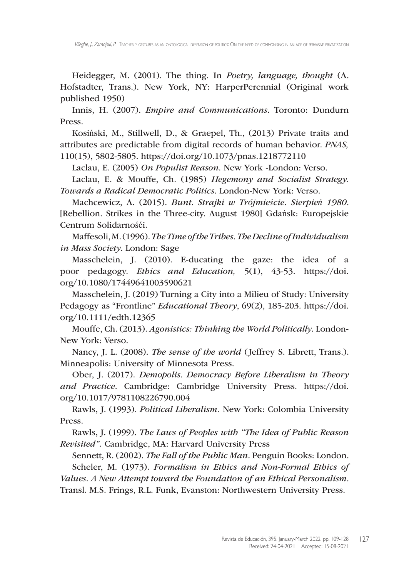Heidegger, M. (2001). The thing. In *Poetry, language, thought* (A. Hofstadter, Trans.). New York, NY: HarperPerennial (Original work published 1950)

Innis, H. (2007). *Empire and Communications*. Toronto: Dundurn Press.

Kosiński, M., Stillwell, D., & Graepel, Th., (2013) Private traits and attributes are predictable from digital records of human behavior. *PNAS,*  110(15), 5802-5805. <https://doi.org/10.1073/pnas.1218772110>

Laclau, E. (2005) *On Populist Reason*. New York -London: Verso.

Laclau, E. & Mouffe, Ch. (1985) *Hegemony and Socialist Strategy. Towards a Radical Democratic Politics*. London-New York: Verso.

Machcewicz, A. (2015). *Bunt. Strajki w Trójmieście. Sierpień 1980*. [Rebellion. Strikes in the Three-city. August 1980] Gdańsk: Europejskie Centrum Solidarnośći.

Maffesoli,M.(1996).*The Time of the Tribes. The Decline of Individualism in Mass Society*. London: Sage

Masschelein, J. (2010). E-ducating the gaze: the idea of a poor pedagogy. *Ethics and Education,* 5(1), 43-53. [https://doi.](https://doi.org/10.1080/17449641003590621) [org/10.1080/17449641003590621](https://doi.org/10.1080/17449641003590621)

Masschelein, J. (2019) Turning a City into a Milieu of Study: University Pedagogy as "Frontline" *Educational Theory*, 69(2), 185-203. [https://doi.](https://doi.org/10.1111/edth.12365) [org/10.1111/edth.12365](https://doi.org/10.1111/edth.12365)

Mouffe, Ch. (2013). *Agonistics: Thinking the World Politically*. London-New York: Verso.

Nancy, J. L. (2008). *The sense of the world* (Jeffrey S. Librett, Trans.). Minneapolis: University of Minnesota Press.

Ober, J. (2017). *Demopolis. Democracy Before Liberalism in Theory and Practice*. Cambridge: Cambridge University Press. [https://doi.](https://doi.org/10.1017/9781108226790.004) [org/10.1017/9781108226790.004](https://doi.org/10.1017/9781108226790.004)

Rawls, J. (1993). *Political Liberalism.* New York: Colombia University Press.

Rawls, J. (1999). *The Laws of Peoples with "The Idea of Public Reason Revisited".* Cambridge, MA: Harvard University Press

Sennett, R. (2002). *The Fall of the Public Man*. Penguin Books: London. Scheler, M. (1973). *Formalism in Ethics and Non-Formal Ethics of* 

*Values. A New Attempt toward the Foundation of an Ethical Personalism*.

Transl. M.S. Frings, R.L. Funk, Evanston: Northwestern University Press.